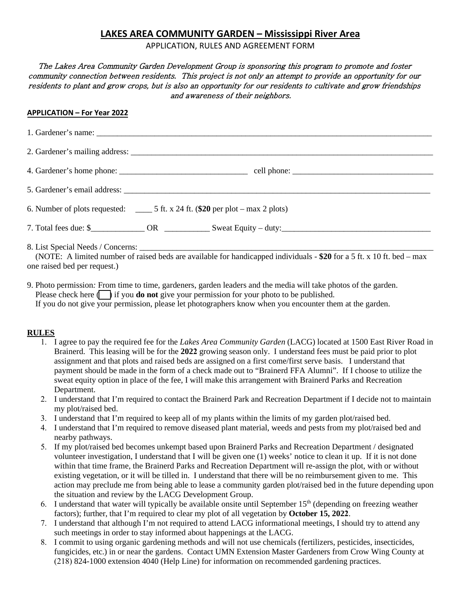# **LAKES AREA COMMUNITY GARDEN – Mississippi River Area**

APPLICATION, RULES AND AGREEMENT FORM

### The Lakes Area Community Garden Development Group is sponsoring this program to promote and foster community connection between residents. This project is not only an attempt to provide an opportunity for our residents to plant and grow crops, but is also an opportunity for our residents to cultivate and grow friendships and awareness of their neighbors.

#### **APPLICATION – For Year 2022**

| 6. Number of plots requested: $\qquad \qquad$ 5 ft. x 24 ft. (\$20 per plot – max 2 plots)                                                             |  |  |
|--------------------------------------------------------------------------------------------------------------------------------------------------------|--|--|
|                                                                                                                                                        |  |  |
| (NOTE: A limited number of raised beds are available for handicapped individuals - \$20 for a 5 ft. x 10 ft. bed – max<br>one raised bed per request.) |  |  |

9. Photo permission*:* From time to time, gardeners, garden leaders and the media will take photos of the garden. Please check here  $\Box$  if you **do not** give your permission for your photo to be published. If you do not give your permission, please let photographers know when you encounter them at the garden.

#### **RULES**

- 1. I agree to pay the required fee for the *Lakes Area Community Garden* (LACG) located at 1500 East River Road in Brainerd. This leasing will be for the **2022** growing season only. I understand fees must be paid prior to plot assignment and that plots and raised beds are assigned on a first come/first serve basis. I understand that payment should be made in the form of a check made out to "Brainerd FFA Alumni". If I choose to utilize the sweat equity option in place of the fee, I will make this arrangement with Brainerd Parks and Recreation Department.
- 2. I understand that I'm required to contact the Brainerd Park and Recreation Department if I decide not to maintain my plot/raised bed.
- 3. I understand that I'm required to keep all of my plants within the limits of my garden plot/raised bed.
- 4. I understand that I'm required to remove diseased plant material, weeds and pests from my plot/raised bed and nearby pathways.
- 5. If my plot/raised bed becomes unkempt based upon Brainerd Parks and Recreation Department / designated volunteer investigation, I understand that I will be given one (1) weeks' notice to clean it up. If it is not done within that time frame, the Brainerd Parks and Recreation Department will re-assign the plot, with or without existing vegetation, or it will be tilled in. I understand that there will be no reimbursement given to me. This action may preclude me from being able to lease a community garden plot/raised bed in the future depending upon the situation and review by the LACG Development Group.
- 6. I understand that water will typically be available onsite until September  $15<sup>th</sup>$  (depending on freezing weather factors); further, that I'm required to clear my plot of all vegetation by **October 15, 2022**.
- 7. I understand that although I'm not required to attend LACG informational meetings, I should try to attend any such meetings in order to stay informed about happenings at the LACG.
- 8. I commit to using organic gardening methods and will not use chemicals (fertilizers, pesticides, insecticides, fungicides, etc.) in or near the gardens. Contact UMN Extension Master Gardeners from Crow Wing County at (218) 824-1000 extension 4040 (Help Line) for information on recommended gardening practices.